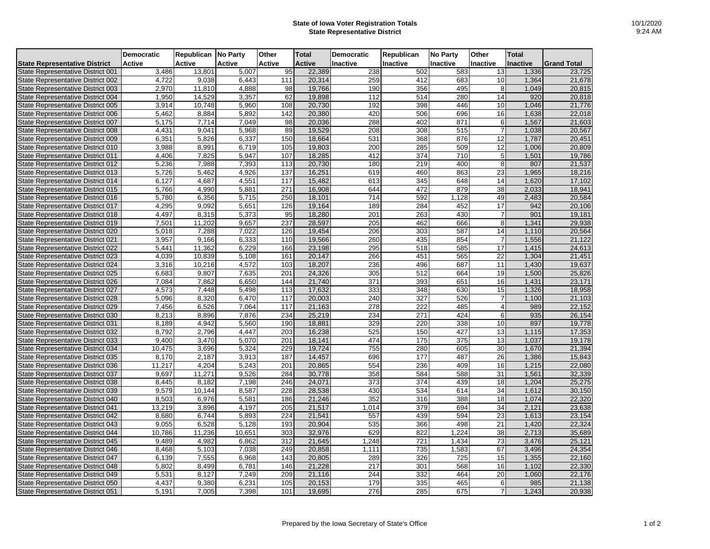## **State of Iowa Voter Registration Totals State Representative District**

|                                          | <b>Democratic</b> | Republican No Party |               | Other            | <b>Total</b>  | <b>Democratic</b> | Republican       | <b>No Party</b> | Other           | <b>Total</b>    |                    |
|------------------------------------------|-------------------|---------------------|---------------|------------------|---------------|-------------------|------------------|-----------------|-----------------|-----------------|--------------------|
| <b>State Representative District</b>     | <b>Active</b>     | Active              | <b>Active</b> | Active           | <b>Active</b> | Inactive          | Inactive         | Inactive        | <b>Inactive</b> | <b>Inactive</b> | <b>Grand Total</b> |
| State Representative District 001        | 3,486             | 13,801              | 5,007         | 95               | 22,389        | 238               | 502              | 583             | 13              | 1,336           | 23,725             |
| <b>State Representative District 002</b> | 4,722             | 9,038               | 6,443         | 111              | 20,314        | 259               | 412              | 683             | 10              | 1,364           | 21,678             |
| State Representative District 003        | 2,970             | 11,810              | 4,888         | 98               | 19,766        | 190               | 356              | 495             | 8               | 1,049           | 20,815             |
| State Representative District 004        | 1,950             | 14,529              | 3,357         | 62               | 19,898        | 112               | 514              | 280             | 14              | 920             | 20,818             |
| State Representative District 005        | 3,914             | 10,748              | 5,960         | 108              | 20,730        | 192               | 398              | 446             | 10              | 1,046           | 21,776             |
| State Representative District 006        | 5,462             | 8,884               | 5,892         | 142              | 20,380        | 420               | 506              | 696             | 16              | 1,638           | 22,018             |
| State Representative District 007        | 5.175             | 7.714               | 7.049         | 98               | 20.036        | 288               | 402              | 871             | 6               | 1.567           | 21.603             |
| State Representative District 008        | 4,431             | 9,041               | 5,968         | 89               | 19,529        | 208               | 308              | 515             | $\overline{7}$  | 1,038           | 20,567             |
| State Representative District 009        | 6,351             | 5,826               | 6,337         | 150              | 18,664        | 531               | 368              | 876             | 12              | 1,787           | 20,451             |
| State Representative District 010        | 3,988             | 8,991               | 6,719         | 105              | 19,803        | 200               | 285              | 509             | $\overline{12}$ | 1,006           | 20,809             |
| <b>State Representative District 011</b> | 4,406             | 7,825               | 5,947         | 107              | 18,285        | 412               | 374              | 710             | 5               | 1,501           | 19,786             |
| State Representative District 012        | 5,236             | 7,988               | 7,393         | 113              | 20,730        | 180               | 219              | 400             | 8               | 807             | 21,537             |
| State Representative District 013        | 5.726             | 5.462               | 4.926         | 137              | 16.251        | 619               | 460              | 863             | 23              | 1.965           | 18.216             |
| State Representative District 014        | 6,127             | 4,687               | 4,551         | 117              | 15,482        | 613               | 345              | 648             | 14              | 1,620           | 17,102             |
| State Representative District 015        | 5,766             | 4,990               | 5,881         | 271              | 16,908        | 644               | 472              | 879             | 38              | 2,033           | 18,941             |
| State Representative District 016        | 5,780             | 6,356               | 5,715         | 250              | 18,101        | 714               | 592              | 1,128           | 49              | 2,483           | 20,584             |
| State Representative District 017        | 4,295             | 9,092               | 5,651         | 126              | 19,164        | 189               | 284              | 452             | $\overline{17}$ | 942             | 20,106             |
| State Representative District 018        | 4,497             | 8,315               | 5,373         | 95               | 18,280        | 201               | 263              | 430             | $\overline{7}$  | 901             | 19,181             |
| State Representative District 019        | 7,501             | 11,202              | 9,657         | 237              | 28,597        | 205               | 462              | 666             | 8               | 1,341           | 29,938             |
| State Representative District 020        | 5,018             | 7,288               | 7,022         | 126              | 19,454        | 206               | 303              | 587             | 14              | 1.110           | 20,564             |
| <b>State Representative District 021</b> | 3,957             | 9,166               | 6,333         | 110              | 19,566        | 260               | 435              | 854             | $\overline{7}$  | 1,556           | 21,122             |
| State Representative District 022        | 5,441             | 11,362              | 6,229         | 166              | 23,198        | 295               | $\overline{518}$ | 585             | $\overline{17}$ | 1,415           | 24,613             |
| State Representative District 023        | 4.039             | 10,839              | 5,108         | 161              | 20,147        | 266               | 451              | 565             | $\overline{22}$ | 1.304           | 21,451             |
| <b>State Representative District 024</b> | 3,316             | 10,216              | 4,572         | 103              | 18,207        | 236               | 496              | 687             | 11              | 1,430           | 19,637             |
| State Representative District 025        | 6,683             | 9,807               | 7,635         | 201              | 24,326        | 305               | 512              | 664             | 19              | 1,500           | 25,826             |
| State Representative District 026        | 7,084             | 7,862               | 6,650         | 144              | 21,740        | 371               | 393              | 651             | 16              | 1,431           | 23,171             |
| State Representative District 027        | 4,573             | 7,448               | 5,498         | 113              | 17,632        | 333               | 348              | 630             | 15              | 1,326           | 18,958             |
| State Representative District 028        | 5,096             | 8,320               | 6,470         | 117              | 20,003        | 240               | 327              | 526             | $\overline{7}$  | 1,100           | 21,103             |
| State Representative District 029        | 7,456             | 6,526               | 7,064         | 117              | 21,163        | 278               | 222              | 485             | $\overline{4}$  | 989             | 22,152             |
| State Representative District 030        | 8,213             | 8,896               | 7,876         | 234              | 25,219        | 234               | 271              | 424             | 6               | 935             | 26,154             |
| State Representative District 031        | 8,189             | 4,942               | 5,560         | 190              | 18,881        | 329               | 220              | 338             | 10              | 897             | 19,778             |
| State Representative District 032        | 8,792             | 2,796               | 4,447         | 203              | 16,238        | 525               | 150              | 427             | 13              | 1,115           | 17,353             |
| State Representative District 033        | 9.400             | 3.470               | 5.070         | 201              | 18,141        | 474               | 175              | 375             | 13              | 1.037           | 19,178             |
| State Representative District 034        | 10,475            | 3,696               | 5,324         | 229              | 19,724        | 755               | 280              | 605             | 30              | 1,670           | 21,394             |
| State Representative District 035        | 8,170             | 2,187               | 3,913         | 187              | 14,457        | 696               | 177              | 487             | 26              | 1,386           | 15,843             |
| State Representative District 036        | 11.217            | 4,204               | 5,243         | 201              | 20.865        | 554               | 236              | 409             | 16              | 1,215           | 22.080             |
| <b>State Representative District 037</b> | 9,697             | 11,271              | 9,526         | 284              | 30,778        | 358               | 584              | 588             | 31              | 1,561           | 32,339             |
| State Representative District 038        | 8,445             | 8,182               | 7,198         | 246              | 24,071        | 373               | 374              | 439             | 18              | 1,204           | 25,275             |
| State Representative District 039        | 9.579             | 10.144              | 8.587         | $\overline{228}$ | 28,538        | 430               | 534              | 614             | $\overline{34}$ | 1,612           | 30,150             |
| State Representative District 040        | 8,503             | 6,976               | 5,581         | 186              | 21,246        | 352               | 316              | 388             | 18              | 1,074           | 22,320             |
| State Representative District 041        | 13,219            | 3,896               | 4,197         | 205              | 21,517        | 1,014             | 379              | 694             | 34              | 2,121           | 23,638             |
| State Representative District 042        | 8,680             | 6,744               | 5,893         | 224              | 21,541        | 557               | 439              | 594             | 23              | 1,613           | 23,154             |
| <b>State Representative District 043</b> | 9,055             | 6,528               | 5,128         | 193              | 20,904        | 535               | 366              | 498             | $\overline{21}$ | 1,420           | 22,324             |
| <b>State Representative District 044</b> | 10,786            | 11,236              | 10,651        | 303              | 32,976        | 629               | 822              | 1,224           | 38              | 2,713           | 35,689             |
| State Representative District 045        | 9,489             | 4,982               | 6,862         | 312              | 21,645        | 1,248             | $\overline{721}$ | 1,434           | $\overline{73}$ | 3,476           | 25,121             |
| State Representative District 046        | 8.468             | 5,103               | 7,038         | 249              | 20,858        | 1,111             | 735              | 1,583           | 67              | 3.496           | 24.354             |
| State Representative District 047        | 6,139             | 7,555               | 6,968         | 143              | 20,805        | 289               | 326              | 725             | 15              | 1,355           | 22,160             |
| State Representative District 048        | 5,802             | 8,499               | 6,781         | 146              | 21,228        | 217               | 301              | 568             | 16              | 1,102           | 22,330             |
| State Representative District 049        | 5,531             | 8.127               | 7.249         | 209              | 21,116        | 244               | 332              | 464             | 20              | 1.060           | 22,176             |
| State Representative District 050        | 4,437             | 9,380               | 6,231         | 105              | 20,153        | 179               | 335              | 465             | 6               | 985             | 21,138             |
| State Representative District 051        | 5,191             | 7,005               | 7,398         | 101              | 19,695        | 276               | 285              | 675             | $\overline{7}$  | 1,243           | 20,938             |